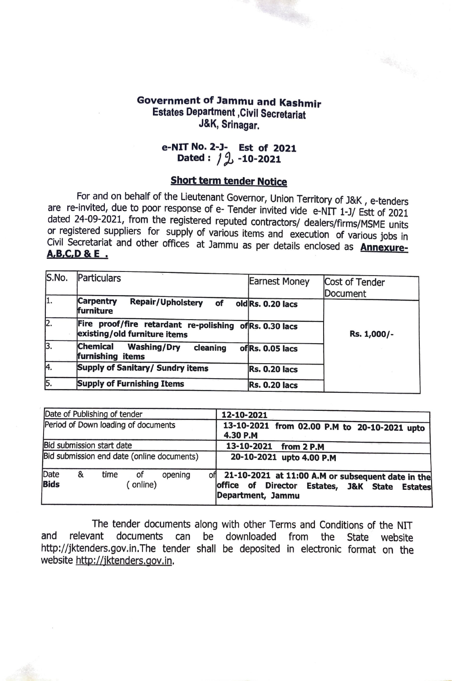## **Government of Jammu and Kashmir Estates Department ,Civil Secretariat J&K, Srinagar.**

## **e-NIT No. 2-J- Est of 2021 Dated:** / *i* **-10-2021**

## **Short term tender Notice**

For and on behalf of the Lieutenant Governor, Union Territory of J&K, e-tenders are re-invited, due to poor response of e- Tender invited vide e-NIT 1-J/ Estt of 2021 dated 24-09-2021, from the registered reputed contractors/ dealers/firms/MSME units or registered suppliers for supply of various items and execution of various jobs in Civil Secretariat and other offices at Jammu as per details enclosed as **Annexure-A,B,C,D** & **E** .

| S.No.            | Particulars                                                                             |                      |                |
|------------------|-----------------------------------------------------------------------------------------|----------------------|----------------|
|                  |                                                                                         | <b>Earnest Money</b> | Cost of Tender |
|                  |                                                                                         |                      | Document       |
| 1.               | <b>Carpentry</b><br>Repair/Upholstery of<br>furniture                                   | oldRs. 0.20 lacs     |                |
| 2.               | Fire proof/fire retardant re-polishing of Rs. 0.30 lacs<br>existing/old furniture items |                      | Rs. 1,000/-    |
| 3.               | <b>Chemical</b><br><b>Washing/Dry</b><br>cleaning<br>furnishing items                   | of Rs. 0.05 lacs     |                |
| Ā.               | <b>Supply of Sanitary/ Sundry items</b>                                                 | <b>Rs. 0.20 lacs</b> |                |
| $\overline{5}$ . | <b>Supply of Furnishing Items</b>                                                       | <b>Rs. 0.20 lacs</b> |                |

| Date of Publishing of tender                                  | 12-10-2021                                                                                                                 |
|---------------------------------------------------------------|----------------------------------------------------------------------------------------------------------------------------|
| Period of Down loading of documents                           | 13-10-2021 from 02.00 P.M to 20-10-2021 upto<br>4.30 P.M                                                                   |
| Bid submission start date                                     | 13-10-2021 from 2 P.M                                                                                                      |
| Bid submission end date (online documents)                    | 20-10-2021 upto 4.00 P.M                                                                                                   |
| Date<br>time<br>&<br>of<br>opening<br><b>Bids</b><br>(online) | of 21-10-2021 at 11:00 A.M or subsequent date in the<br>office of Director Estates, J&K State Estates<br>Department, Jammu |

The tender documents along with other Terms and Conditions of the NIT and relevant documents can be downloaded from the State website http://jktenders.gov.in.The tender shall be deposited in electronic format on the website http://jktenders.gov.in.